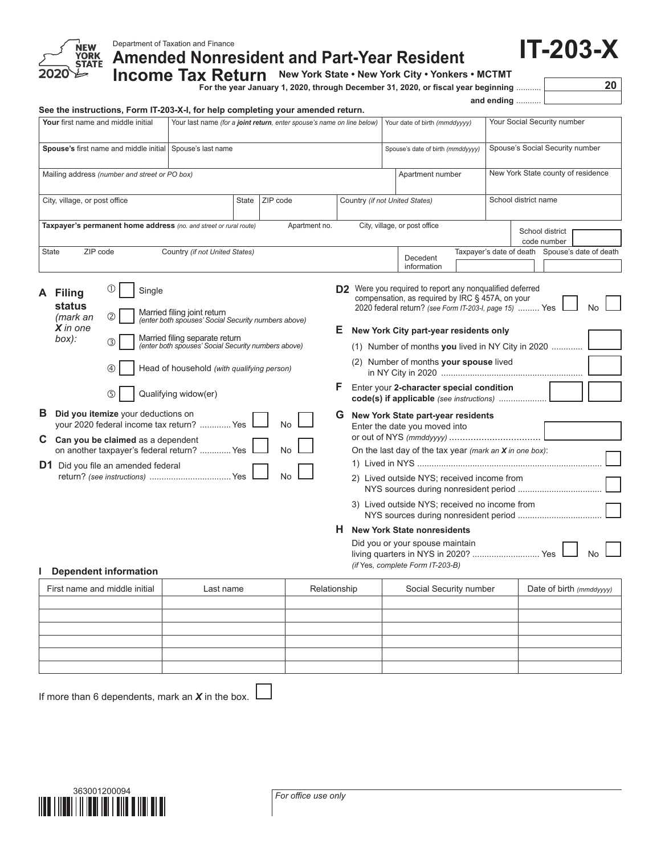

**Amended Nonresident and Part-Year Resident**

Income Tax Return New York State • New York City • Yonkers • MCTMT<br>For the year January 1, 2020, through December 31, 2020, or fiscal year beginning ...........

and ending

**IT-203-X**

## **See the instructions, Form IT-203-X-I, for help completing your amended return.**

| Your first name and middle initial                                                                                                                                                                                                                            | Your last name (for a joint return, enter spouse's name on line below)                                                                                                                                                                            |                       |                                | Your date of birth (mmddyyyy)                                                                                                                                                                                                                                                                                                                                                                                                                                               |  |                      | Your Social Security number                     |           |
|---------------------------------------------------------------------------------------------------------------------------------------------------------------------------------------------------------------------------------------------------------------|---------------------------------------------------------------------------------------------------------------------------------------------------------------------------------------------------------------------------------------------------|-----------------------|--------------------------------|-----------------------------------------------------------------------------------------------------------------------------------------------------------------------------------------------------------------------------------------------------------------------------------------------------------------------------------------------------------------------------------------------------------------------------------------------------------------------------|--|----------------------|-------------------------------------------------|-----------|
| Spouse's first name and middle initial                                                                                                                                                                                                                        | Spouse's last name                                                                                                                                                                                                                                |                       |                                | Spouse's date of birth (mmddyyyy)                                                                                                                                                                                                                                                                                                                                                                                                                                           |  |                      | Spouse's Social Security number                 |           |
| Mailing address (number and street or PO box)                                                                                                                                                                                                                 |                                                                                                                                                                                                                                                   |                       |                                | Apartment number                                                                                                                                                                                                                                                                                                                                                                                                                                                            |  |                      | New York State county of residence              |           |
| City, village, or post office                                                                                                                                                                                                                                 | ZIP code<br><b>State</b>                                                                                                                                                                                                                          |                       | Country (if not United States) |                                                                                                                                                                                                                                                                                                                                                                                                                                                                             |  | School district name |                                                 |           |
| Taxpayer's permanent home address (no. and street or rural route)                                                                                                                                                                                             |                                                                                                                                                                                                                                                   | Apartment no.         |                                | City, village, or post office                                                                                                                                                                                                                                                                                                                                                                                                                                               |  |                      | School district<br>code number                  |           |
| ZIP code<br><b>State</b>                                                                                                                                                                                                                                      | Country (if not United States)                                                                                                                                                                                                                    |                       |                                | Decedent<br>information                                                                                                                                                                                                                                                                                                                                                                                                                                                     |  |                      | Taxpayer's date of death Spouse's date of death |           |
| Single<br>A Filing<br>status<br>2<br>(mark an<br>$X$ in one<br>box):<br>3<br>4<br>ග                                                                                                                                                                           | Married filing joint return<br>(enter both spouses' Social Security numbers above)<br>Married filing separate return<br>(enter both spouses' Social Security numbers above)<br>Head of household (with qualifying person)<br>Qualifying widow(er) |                       | E.<br>F                        | <b>D2</b> Were you required to report any nonqualified deferred<br>compensation, as required by IRC § 457A, on your<br>2020 federal return? (see Form IT-203-I, page 15)  Yes<br>New York City part-year residents only<br>(1) Number of months you lived in NY City in 2020<br>(2) Number of months your spouse lived<br>Enter your 2-character special condition                                                                                                          |  |                      |                                                 | <b>No</b> |
| <b>B</b> Did you itemize your deductions on<br>your 2020 federal income tax return?  Yes<br>С<br>Can you be claimed as a dependent<br>on another taxpayer's federal return?  Yes<br><b>D1</b> Did you file an amended federal<br><b>Dependent information</b> |                                                                                                                                                                                                                                                   | No<br><b>No</b><br>No | G                              | code(s) if applicable (see instructions)<br>New York State part-year residents<br>Enter the date you moved into<br>On the last day of the tax year (mark an $X$ in one box):<br>2) Lived outside NYS; received income from<br>3) Lived outside NYS; received no income from<br>NYS sources during nonresident period<br><b>H</b> New York State nonresidents<br>Did you or your spouse maintain<br>living quarters in NYS in 2020?  Yes<br>(if Yes, complete Form IT-203-B) |  |                      |                                                 | <b>No</b> |
| First name and middle initial                                                                                                                                                                                                                                 | Last name                                                                                                                                                                                                                                         | Relationship          |                                | Social Security number                                                                                                                                                                                                                                                                                                                                                                                                                                                      |  |                      | Date of birth (mmddyyyy)                        |           |
|                                                                                                                                                                                                                                                               |                                                                                                                                                                                                                                                   |                       |                                |                                                                                                                                                                                                                                                                                                                                                                                                                                                                             |  |                      |                                                 |           |

| Last name | Relationship | Social Security number | Date of birth (mmddyyyy) |
|-----------|--------------|------------------------|--------------------------|
|           |              |                        |                          |
|           |              |                        |                          |
|           |              |                        |                          |
|           |              |                        |                          |
|           |              |                        |                          |
|           |              |                        |                          |
|           |              |                        |                          |

If more than 6 dependents, mark an *X* in the box.

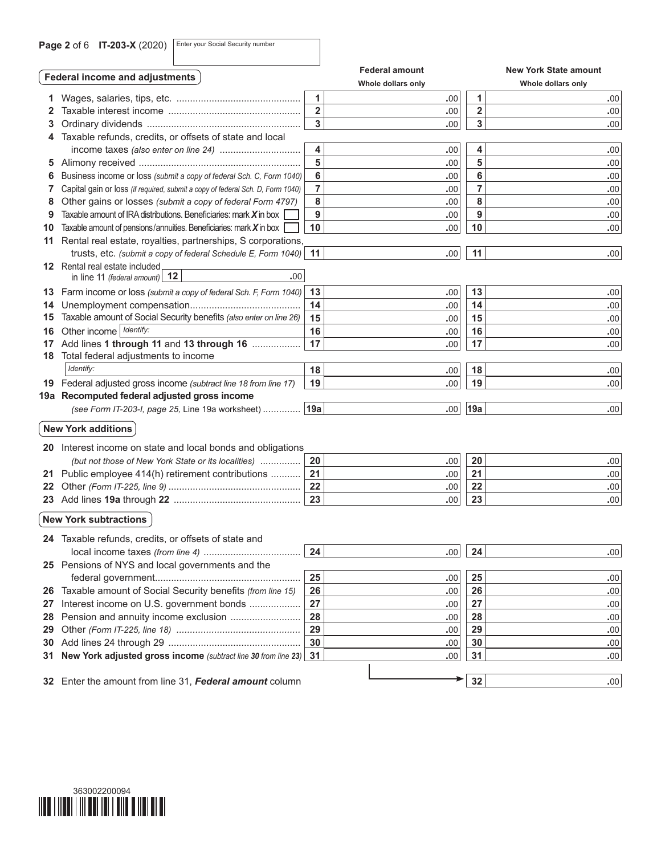**Page 2 of 6 IT-203-X (2020)** Enter your Social Security number

|     | Federal income and adjustments                                                  |                         | <b>Federal amount</b> |                         | <b>New York State amount</b> |
|-----|---------------------------------------------------------------------------------|-------------------------|-----------------------|-------------------------|------------------------------|
|     |                                                                                 |                         | Whole dollars only    |                         | Whole dollars only           |
| 1.  |                                                                                 | 1                       | .00                   | 1                       | .00                          |
|     |                                                                                 | $\overline{\mathbf{2}}$ | .00                   | $\overline{\mathbf{2}}$ | .00                          |
| 3   |                                                                                 | 3                       | .00                   | 3                       | .00                          |
|     | Taxable refunds, credits, or offsets of state and local                         |                         |                       |                         |                              |
|     |                                                                                 | 4                       | .00                   | 4                       | .00                          |
|     |                                                                                 | 5                       | .00                   | 5                       | .00                          |
| 6   | Business income or loss (submit a copy of federal Sch. C, Form 1040)            | 6                       | .00                   | 6                       | .00                          |
| 7   | Capital gain or loss (if required, submit a copy of federal Sch. D, Form 1040)  | $\overline{7}$          | .00                   | 7                       | .00                          |
| 8   | Other gains or losses (submit a copy of federal Form 4797)                      | 8                       | .00                   | 8                       | .00                          |
| 9   | Taxable amount of IRA distributions. Beneficiaries: mark $X$ in box $\mathsf I$ | 9                       | .00                   | 9                       | .00                          |
| 10  | Taxable amount of pensions/annuities. Beneficiaries: mark $X$ in box            | 10                      | .00                   | 10                      | .00                          |
| 11  | Rental real estate, royalties, partnerships, S corporations,                    |                         |                       |                         |                              |
|     | trusts, etc. (submit a copy of federal Schedule E, Form 1040)                   | 11                      | .00.                  | 11                      | .00                          |
|     | <b>12</b> Rental real estate included                                           |                         |                       |                         |                              |
|     | in line 11 (federal amount) $ 12$<br>.00.                                       |                         |                       |                         |                              |
|     | 13 Farm income or loss (submit a copy of federal Sch. F, Form 1040)             | 13                      | .00.                  | 13                      | .00                          |
| 14  |                                                                                 | 14                      | .00                   | 14                      | .00                          |
| 15  | Taxable amount of Social Security benefits (also enter on line 26)              | 15                      | .00                   | 15                      | .00                          |
| 16  | Other income   Identify:                                                        | 16                      | .00                   | 16                      | .00                          |
|     | 17 Add lines 1 through 11 and 13 through 16                                     | 17                      | .00                   | 17                      | .00                          |
|     | 18 Total federal adjustments to income                                          |                         |                       |                         |                              |
|     | Identify:                                                                       | 18                      | .00                   | 18                      | .00                          |
|     | 19 Federal adjusted gross income (subtract line 18 from line 17)                | 19                      | .00                   | 19                      | .00                          |
|     | 19a Recomputed federal adjusted gross income                                    |                         |                       |                         |                              |
|     | (see Form IT-203-I, page 25, Line 19a worksheet)                                | 19a                     | .00                   | 19a                     | .00                          |
|     | <b>New York additions</b>                                                       |                         |                       |                         |                              |
|     |                                                                                 |                         |                       |                         |                              |
|     | 20 Interest income on state and local bonds and obligations                     |                         |                       |                         |                              |
|     | (but not those of New York State or its localities)                             | 20                      | .00.                  | 20                      | .00                          |
|     | 21 Public employee 414(h) retirement contributions                              | 21                      | .00                   | 21                      | .00                          |
| 22. |                                                                                 | 22                      | .00                   | 22                      | .00                          |
|     |                                                                                 | 23                      | .00                   | 23                      | .00                          |
|     | <b>New York subtractions</b>                                                    |                         |                       |                         |                              |
|     |                                                                                 |                         |                       |                         |                              |
|     | 24 Taxable refunds, credits, or offsets of state and                            |                         |                       |                         |                              |
|     |                                                                                 | 24                      | .00 <sub>1</sub>      | 24                      | .00                          |
|     | 25 Pensions of NYS and local governments and the                                |                         |                       |                         |                              |
|     |                                                                                 | 25                      | .00.                  | 25                      | .00                          |
| 26  | Taxable amount of Social Security benefits (from line 15)                       | 26                      | .00.                  | 26                      | .00                          |
| 27  | Interest income on U.S. government bonds                                        | 27                      | .00.                  | 27                      | .00                          |
| 28  | Pension and annuity income exclusion                                            | 28                      | .00.                  | 28                      | .00                          |
| 29  |                                                                                 | 29                      | .00.                  | 29                      | .00                          |
| 30  |                                                                                 | 30                      | .00.                  | 30                      | .00                          |
| 31  | New York adjusted gross income (subtract line 30 from line 23)                  | 31                      | .00                   | 31                      | .00                          |
|     |                                                                                 |                         |                       | 32                      |                              |
|     | 32 Enter the amount from line 31, Federal amount column                         |                         |                       |                         | .00                          |

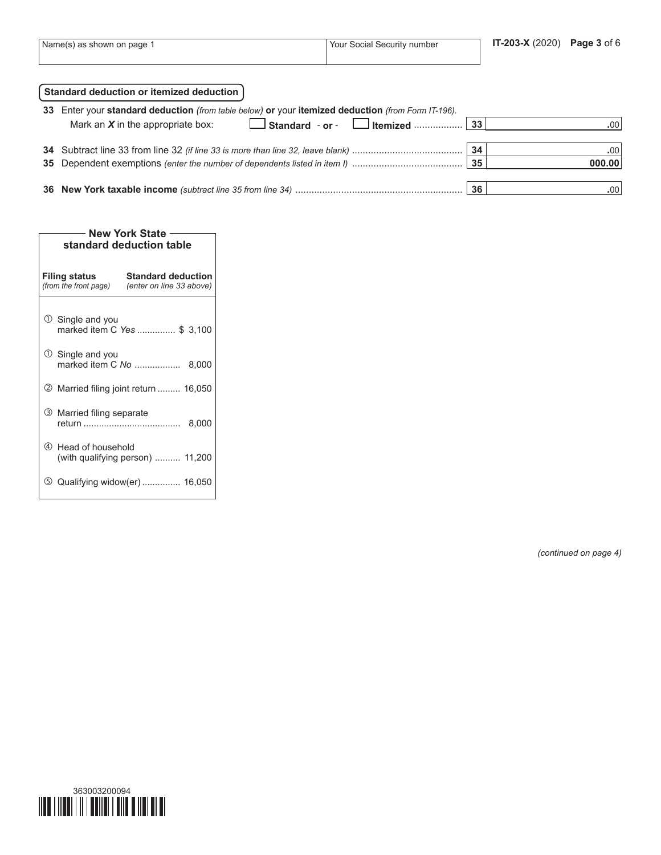| Name(s) as shown on page | Your Social Security number | IT-203-X (2020) Page 3 of 6 |  |
|--------------------------|-----------------------------|-----------------------------|--|
|                          |                             |                             |  |

|    | Standard deduction or itemized deduction                                                        |    |                  |
|----|-------------------------------------------------------------------------------------------------|----|------------------|
| 33 | Enter your standard deduction (from table below) or your itemized deduction (from Form IT-196). |    |                  |
|    | Mark an $X$ in the appropriate box:                                                             |    | .00 <sub>1</sub> |
|    |                                                                                                 |    |                  |
|    |                                                                                                 | 34 | .00              |
|    |                                                                                                 | 35 | 000.00           |
|    |                                                                                                 |    |                  |
|    |                                                                                                 | 36 | .00.             |

| <b>New York State</b><br>standard deduction table |                                                       |  |  |  |  |  |  |
|---------------------------------------------------|-------------------------------------------------------|--|--|--|--|--|--|
| <b>Filing status</b><br>(from the front page)     | <b>Standard deduction</b><br>(enter on line 33 above) |  |  |  |  |  |  |
| $\cup$ Single and you                             | marked item C Yes  \$ 3,100                           |  |  |  |  |  |  |
| $\mathbb O$ Single and you                        | marked item C No  8,000                               |  |  |  |  |  |  |
|                                                   | <b>② Married filing joint return  16,050</b>          |  |  |  |  |  |  |
| 3 Married filing separate                         | 8,000                                                 |  |  |  |  |  |  |
| 4<br>Head of household                            | (with qualifying person)  11,200                      |  |  |  |  |  |  |
| (5)                                               | Qualifying widow(er) 16,050                           |  |  |  |  |  |  |

*(continued on page 4)*

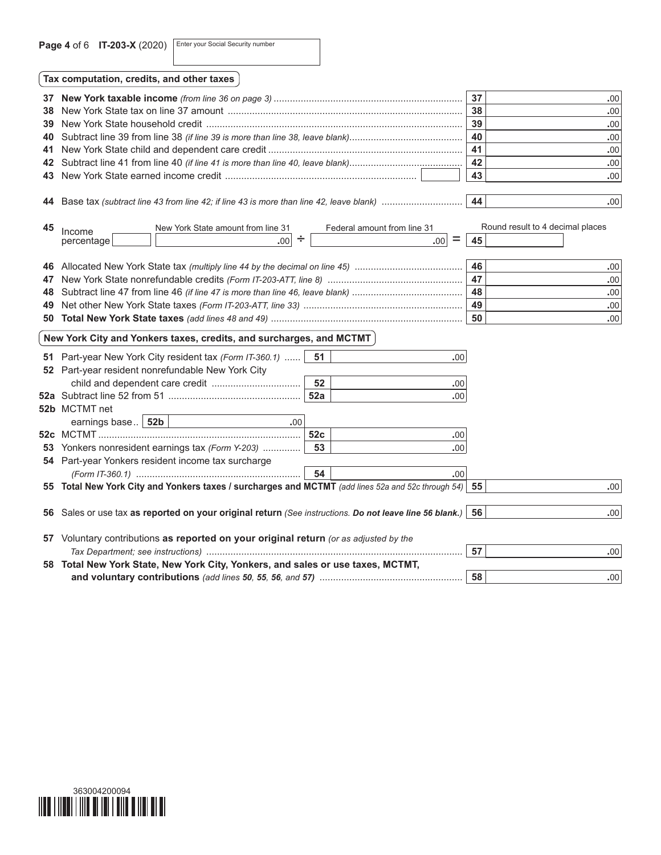Page 4 of 6 **IT-203-X** (2020) Enter your Social Security number

| Tax computation, credits, and other taxes |     |     |
|-------------------------------------------|-----|-----|
|                                           | 37  | -00 |
|                                           | 38  | -00 |
|                                           | 39  | -00 |
|                                           | -40 | -00 |
|                                           | 41  | -00 |
|                                           |     | .00 |

Base tax *(subtract line 43 from line 42; if line 43 is more than line 42, leave blank)* .............................. **44 .**00

| 45 | ncome | line<br>State amount<br>York<br>New | ≅line 3<br>ederal<br>i amount trom. |        | result to<br>Round | decimal places |
|----|-------|-------------------------------------|-------------------------------------|--------|--------------------|----------------|
|    |       | .00                                 | $\overline{\phantom{a}}$<br>.00     | $\sim$ |                    |                |

New York State earned income credit ....................................................................... **43 .**00

|  | -46 | .00'             |
|--|-----|------------------|
|  | 47  | .00'             |
|  | 48  | .00'             |
|  | 49  | $.00^{\circ}$    |
|  | 50  | .00 <sup>1</sup> |

## $\hat{N}$  New York City and Yonkers taxes, credits, and surcharges, and MCTMT $\hat{N}$

|    | <b>51</b> Part-year New York City resident tax (Form IT-360.1)                                             | 51  | .00 |                        |
|----|------------------------------------------------------------------------------------------------------------|-----|-----|------------------------|
|    | 52 Part-year resident nonrefundable New York City                                                          | 52  | .00 |                        |
|    |                                                                                                            | 52a | .00 |                        |
|    | 52b MCTMT net                                                                                              |     |     |                        |
|    | earnings base   52b<br>.00.                                                                                |     |     |                        |
|    |                                                                                                            | 52c | .00 |                        |
|    | <b>53</b> Yonkers nonresident earnings tax (Form Y-203)                                                    | 53  | .00 |                        |
|    | 54 Part-year Yonkers resident income tax surcharge                                                         |     |     |                        |
|    |                                                                                                            |     | .00 |                        |
|    | 55 Total New York City and Yonkers taxes / surcharges and MCTMT (add lines 52a and 52c through 54) 55      |     |     | .00 <sub>1</sub>       |
|    |                                                                                                            |     |     |                        |
|    | 56 Sales or use tax as reported on your original return (See instructions. Do not leave line 56 blank.) 56 |     |     | .00 <sub>1</sub>       |
|    |                                                                                                            |     |     |                        |
| 57 | Voluntary contributions as reported on your original return (or as adjusted by the                         |     |     |                        |
|    |                                                                                                            |     |     | 57<br>.00              |
|    | 58 Total New York State, New York City, Yonkers, and sales or use taxes, MCTMT,                            |     |     |                        |
|    |                                                                                                            |     |     | 58<br>.00 <sub>1</sub> |

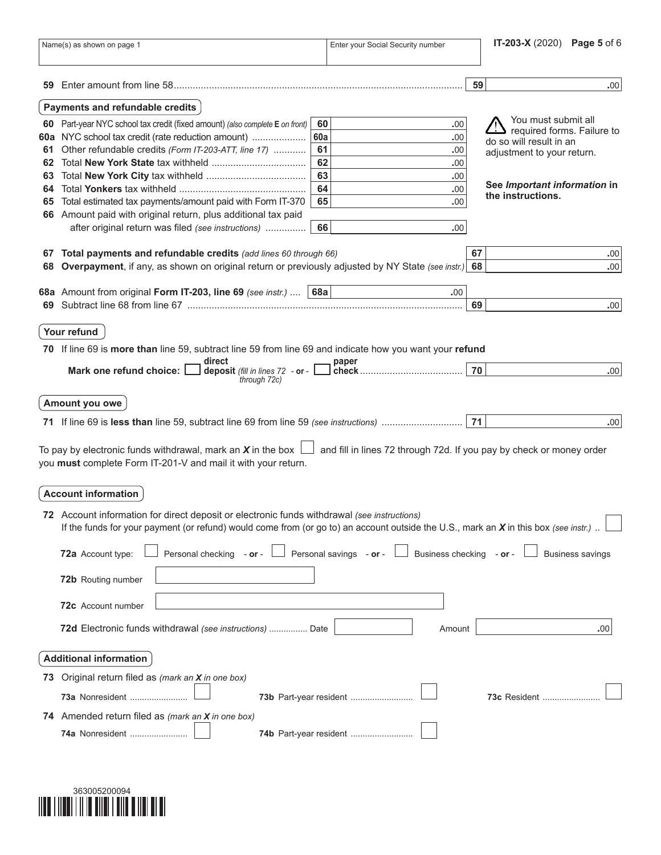|    | Name(s) as shown on page 1                                                                                                                                                                                                           |     | Enter your Social Security number                                           |    | <b>IT-203-X</b> (2020) Page 5 of 6 |
|----|--------------------------------------------------------------------------------------------------------------------------------------------------------------------------------------------------------------------------------------|-----|-----------------------------------------------------------------------------|----|------------------------------------|
|    |                                                                                                                                                                                                                                      |     |                                                                             | 59 | .00.                               |
|    | Payments and refundable credits                                                                                                                                                                                                      |     |                                                                             |    |                                    |
| 60 | Part-year NYC school tax credit (fixed amount) (also complete E on front)                                                                                                                                                            | 60  | .00                                                                         |    | You must submit all                |
|    | 60a NYC school tax credit (rate reduction amount)                                                                                                                                                                                    | 60a | .00                                                                         |    | required forms. Failure to         |
|    | 61 Other refundable credits (Form IT-203-ATT, line 17)                                                                                                                                                                               | 61  | .00                                                                         |    | do so will result in an            |
|    |                                                                                                                                                                                                                                      | 62  | .00                                                                         |    | adjustment to your return.         |
|    |                                                                                                                                                                                                                                      | 63  | .00                                                                         |    |                                    |
|    |                                                                                                                                                                                                                                      | 64  | .00                                                                         |    | See Important information in       |
|    | 65 Total estimated tax payments/amount paid with Form IT-370                                                                                                                                                                         | 65  | .00                                                                         |    | the instructions.                  |
|    | 66 Amount paid with original return, plus additional tax paid                                                                                                                                                                        |     |                                                                             |    |                                    |
|    | after original return was filed (see instructions)                                                                                                                                                                                   | 66  | .00                                                                         |    |                                    |
|    |                                                                                                                                                                                                                                      |     |                                                                             |    |                                    |
|    | 67 Total payments and refundable credits (add lines 60 through 66)                                                                                                                                                                   |     |                                                                             | 67 | .00                                |
| 68 | Overpayment, if any, as shown on original return or previously adjusted by NY State (see instr.)                                                                                                                                     |     |                                                                             | 68 | .00                                |
|    |                                                                                                                                                                                                                                      |     |                                                                             |    |                                    |
|    | 68a Amount from original Form IT-203, line 69 (see instr.) $  68a  $                                                                                                                                                                 |     | .00.                                                                        |    |                                    |
|    |                                                                                                                                                                                                                                      |     |                                                                             | 69 | .00.                               |
|    | Your refund<br>70 If line 69 is more than line 59, subtract line 59 from line 69 and indicate how you want your refund<br>direct<br>deposit (fill in lines 72 - or -<br>Mark one refund choice: [                                    |     | paper                                                                       | 70 | .00 <sub>1</sub>                   |
|    | through 72c)                                                                                                                                                                                                                         |     |                                                                             |    |                                    |
|    | Amount you owe                                                                                                                                                                                                                       |     |                                                                             |    |                                    |
|    |                                                                                                                                                                                                                                      |     |                                                                             | 71 | .00                                |
|    | To pay by electronic funds withdrawal, mark an X in the box $\lfloor$<br>you must complete Form IT-201-V and mail it with your return.                                                                                               |     | $\Box$ and fill in lines 72 through 72d. If you pay by check or money order |    |                                    |
|    | <b>Account information</b>                                                                                                                                                                                                           |     |                                                                             |    |                                    |
|    | 72 Account information for direct deposit or electronic funds withdrawal (see instructions)<br>If the funds for your payment (or refund) would come from (or go to) an account outside the U.S., mark an X in this box (see instr.). |     |                                                                             |    |                                    |
|    | Personal checking - or - $\Box$ Personal savings - or - $\Box$ Business checking - or - $\Box$<br>72a Account type:                                                                                                                  |     |                                                                             |    | <b>Business savings</b>            |
|    | 72b Routing number                                                                                                                                                                                                                   |     |                                                                             |    |                                    |
|    | 72c Account number                                                                                                                                                                                                                   |     |                                                                             |    |                                    |
|    | 72d Electronic funds withdrawal (see instructions)  Date                                                                                                                                                                             |     | Amount                                                                      |    | .00 <sub>1</sub>                   |
|    | <b>Additional information</b>                                                                                                                                                                                                        |     |                                                                             |    |                                    |
|    | 73 Original return filed as (mark an X in one box)                                                                                                                                                                                   |     |                                                                             |    |                                    |
|    | 73a Nonresident                                                                                                                                                                                                                      |     | 73b Part-year resident                                                      |    | 73c Resident                       |
|    | 74 Amended return filed as (mark an X in one box)<br>74a Nonresident                                                                                                                                                                 |     | 74b Part-year resident                                                      |    |                                    |
|    |                                                                                                                                                                                                                                      |     |                                                                             |    |                                    |